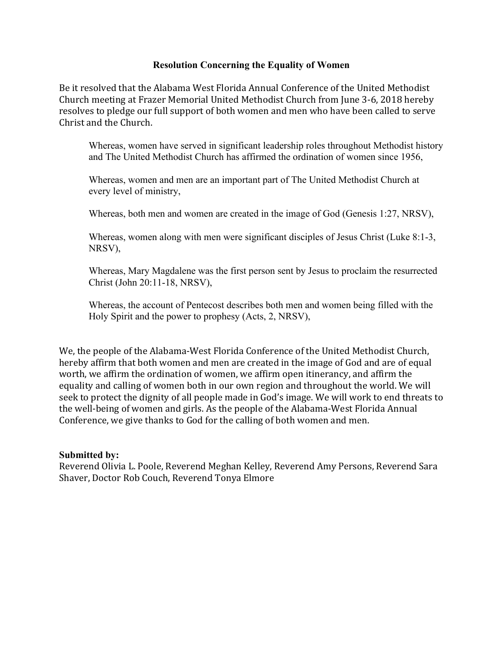## **Resolution Concerning the Equality of Women**

Be it resolved that the Alabama West Florida Annual Conference of the United Methodist Church meeting at Frazer Memorial United Methodist Church from June 3-6, 2018 hereby resolves to pledge our full support of both women and men who have been called to serve Christ and the Church.

Whereas, women have served in significant leadership roles throughout Methodist history and The United Methodist Church has affirmed the ordination of women since 1956,

Whereas, women and men are an important part of The United Methodist Church at every level of ministry,

Whereas, both men and women are created in the image of God (Genesis 1:27, NRSV),

Whereas, women along with men were significant disciples of Jesus Christ (Luke 8:1-3, NRSV),

Whereas, Mary Magdalene was the first person sent by Jesus to proclaim the resurrected Christ (John 20:11-18, NRSV),

Whereas, the account of Pentecost describes both men and women being filled with the Holy Spirit and the power to prophesy (Acts, 2, NRSV),

We, the people of the Alabama-West Florida Conference of the United Methodist Church, hereby affirm that both women and men are created in the image of God and are of equal worth, we affirm the ordination of women, we affirm open itinerancy, and affirm the equality and calling of women both in our own region and throughout the world. We will seek to protect the dignity of all people made in God's image. We will work to end threats to the well-being of women and girls. As the people of the Alabama-West Florida Annual Conference, we give thanks to God for the calling of both women and men.

## **Submitted by:**

Reverend Olivia L. Poole, Reverend Meghan Kelley, Reverend Amy Persons, Reverend Sara Shaver, Doctor Rob Couch, Reverend Tonya Elmore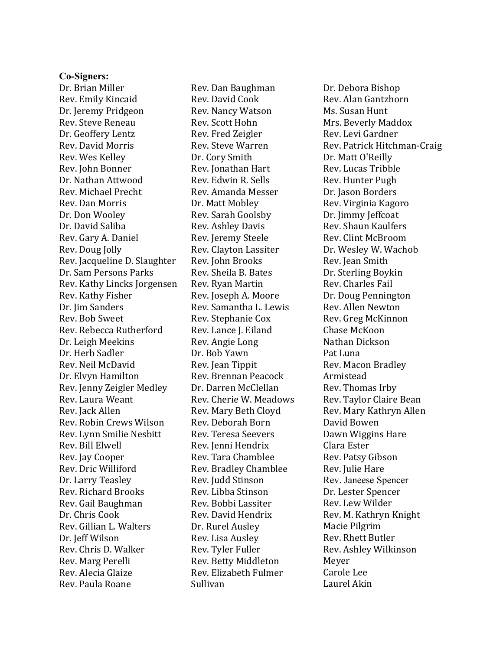## **Co-Signers:**

Dr. Brian Miller Rev. Emily Kincaid Dr. Jeremy Pridgeon Rev. Steve Reneau Dr. Geoffery Lentz Rev. David Morris Rev. Wes Kelley Rev. John Bonner Dr. Nathan Attwood Rev. Michael Precht Rev. Dan Morris Dr. Don Wooley Dr. David Saliba Rev. Gary A. Daniel Rev. Doug Jolly Rev. Jacqueline D. Slaughter Dr. Sam Persons Parks Rev. Kathy Lincks Jorgensen Rev. Kathy Fisher Dr. Jim Sanders Rev. Bob Sweet Rev. Rebecca Rutherford Dr. Leigh Meekins Dr. Herb Sadler Rev. Neil McDavid Dr. Elvyn Hamilton Rev. Jenny Zeigler Medley Rev. Laura Weant Rev. Jack Allen Rev. Robin Crews Wilson Rev. Lynn Smilie Nesbitt Rev. Bill Elwell Rev. Jay Cooper Rev. Dric Williford Dr. Larry Teasley Rev. Richard Brooks Rev. Gail Baughman Dr. Chris Cook Rev. Gillian L. Walters Dr. Jeff Wilson Rev. Chris D. Walker Rev. Marg Perelli Rev. Alecia Glaize Rev. Paula Roane

Rev. Dan Baughman Rev. David Cook Rev. Nancy Watson Rev. Scott Hohn Rev. Fred Zeigler Rev. Steve Warren Dr. Cory Smith Rev. Jonathan Hart Rev. Edwin R. Sells Rev. Amanda Messer Dr. Matt Mobley Rev. Sarah Goolsby Rev. Ashley Davis Rev. Jeremy Steele Rev. Clayton Lassiter Rev. John Brooks Rev. Sheila B. Bates Rev. Ryan Martin Rev. Joseph A. Moore Rev. Samantha L. Lewis Rev. Stephanie Cox Rev. Lance J. Eiland Rev. Angie Long Dr. Bob Yawn Rev. Jean Tippit Rev. Brennan Peacock Dr. Darren McClellan Rev. Cherie W. Meadows Rev. Mary Beth Cloyd Rev. Deborah Born Rev. Teresa Seevers Rev. Jenni Hendrix Rev. Tara Chamblee Rev. Bradley Chamblee Rev. Judd Stinson Rev. Libba Stinson Rev. Bobbi Lassiter Rev. David Hendrix Dr. Rurel Ausley Rev. Lisa Ausley Rev. Tyler Fuller Rev. Betty Middleton Rev. Elizabeth Fulmer Sullivan

Dr. Debora Bishop Rev. Alan Gantzhorn Ms. Susan Hunt Mrs. Beverly Maddox Rev. Levi Gardner Rev. Patrick Hitchman-Craig Dr. Matt O'Reilly Rev. Lucas Tribble Rev. Hunter Pugh Dr. Jason Borders Rev. Virginia Kagoro Dr. Jimmy Jeffcoat Rev. Shaun Kaulfers Rev. Clint McBroom Dr. Wesley W. Wachob Rev. Jean Smith Dr. Sterling Boykin Rev. Charles Fail Dr. Doug Pennington Rev. Allen Newton Rev. Greg McKinnon Chase McKoon Nathan Dickson Pat Luna Rev. Macon Bradley Armistead Rev. Thomas Irby Rev. Taylor Claire Bean Rev. Mary Kathryn Allen David Bowen Dawn Wiggins Hare Clara Ester Rev. Patsy Gibson Rev. Julie Hare Rev. Janeese Spencer Dr. Lester Spencer Rev. Lew Wilder Rev. M. Kathryn Knight Macie Pilgrim Rev. Rhett Butler Rev. Ashley Wilkinson Meyer Carole Lee Laurel Akin